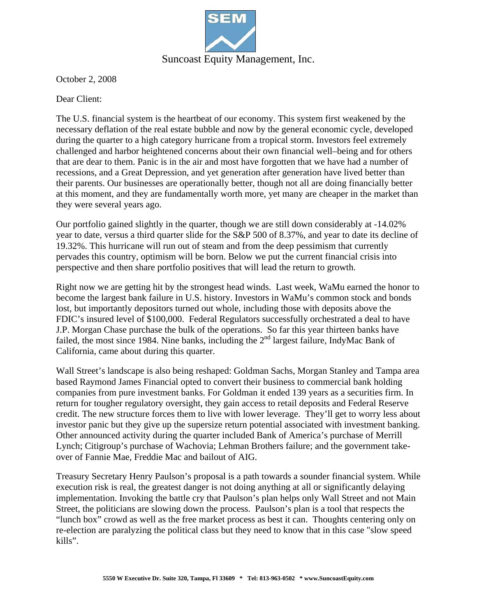

October 2, 2008

Dear Client:

The U.S. financial system is the heartbeat of our economy. This system first weakened by the necessary deflation of the real estate bubble and now by the general economic cycle, developed during the quarter to a high category hurricane from a tropical storm. Investors feel extremely challenged and harbor heightened concerns about their own financial well–being and for others that are dear to them. Panic is in the air and most have forgotten that we have had a number of recessions, and a Great Depression, and yet generation after generation have lived better than their parents. Our businesses are operationally better, though not all are doing financially better at this moment, and they are fundamentally worth more, yet many are cheaper in the market than they were several years ago.

Our portfolio gained slightly in the quarter, though we are still down considerably at -14.02% year to date, versus a third quarter slide for the S&P 500 of 8.37%, and year to date its decline of 19.32%. This hurricane will run out of steam and from the deep pessimism that currently pervades this country, optimism will be born. Below we put the current financial crisis into perspective and then share portfolio positives that will lead the return to growth.

Right now we are getting hit by the strongest head winds. Last week, WaMu earned the honor to become the largest bank failure in U.S. history. Investors in WaMu's common stock and bonds lost, but importantly depositors turned out whole, including those with deposits above the FDIC's insured level of \$100,000. Federal Regulators successfully orchestrated a deal to have J.P. Morgan Chase purchase the bulk of the operations. So far this year thirteen banks have failed, the most since 1984. Nine banks, including the  $2<sup>nd</sup>$  largest failure, IndyMac Bank of California, came about during this quarter.

Wall Street's landscape is also being reshaped: Goldman Sachs, Morgan Stanley and Tampa area based Raymond James Financial opted to convert their business to commercial bank holding companies from pure investment banks. For Goldman it ended 139 years as a securities firm. In return for tougher regulatory oversight, they gain access to retail deposits and Federal Reserve credit. The new structure forces them to live with lower leverage. They'll get to worry less about investor panic but they give up the supersize return potential associated with investment banking. Other announced activity during the quarter included Bank of America's purchase of Merrill Lynch; Citigroup's purchase of Wachovia; Lehman Brothers failure; and the government takeover of Fannie Mae, Freddie Mac and bailout of AIG.

Treasury Secretary Henry Paulson's proposal is a path towards a sounder financial system. While execution risk is real, the greatest danger is not doing anything at all or significantly delaying implementation. Invoking the battle cry that Paulson's plan helps only Wall Street and not Main Street, the politicians are slowing down the process. Paulson's plan is a tool that respects the "lunch box" crowd as well as the free market process as best it can. Thoughts centering only on re-election are paralyzing the political class but they need to know that in this case "slow speed kills".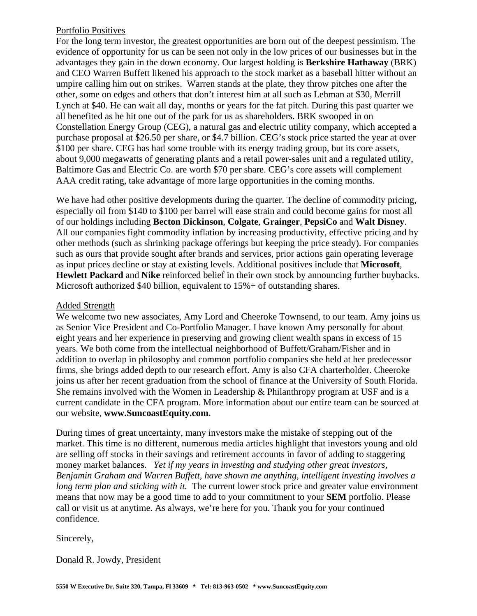## Portfolio Positives

For the long term investor, the greatest opportunities are born out of the deepest pessimism. The evidence of opportunity for us can be seen not only in the low prices of our businesses but in the advantages they gain in the down economy. Our largest holding is **Berkshire Hathaway** (BRK) and CEO Warren Buffett likened his approach to the stock market as a baseball hitter without an umpire calling him out on strikes. Warren stands at the plate, they throw pitches one after the other, some on edges and others that don't interest him at all such as Lehman at \$30, Merrill Lynch at \$40. He can wait all day, months or years for the fat pitch. During this past quarter we all benefited as he hit one out of the park for us as shareholders. BRK swooped in on Constellation Energy Group (CEG), a natural gas and electric utility company, which accepted a purchase proposal at \$26.50 per share, or \$4.7 billion. CEG's stock price started the year at over \$100 per share. CEG has had some trouble with its energy trading group, but its core assets, about 9,000 megawatts of generating plants and a retail power-sales unit and a regulated utility, Baltimore Gas and Electric Co. are worth \$70 per share. CEG's core assets will complement AAA credit rating, take advantage of more large opportunities in the coming months.

We have had other positive developments during the quarter. The decline of commodity pricing, especially oil from \$140 to \$100 per barrel will ease strain and could become gains for most all of our holdings including **Becton Dickinson**, **Colgate**, **Grainger**, **PepsiCo** and **Walt Disney**. All our companies fight commodity inflation by increasing productivity, effective pricing and by other methods (such as shrinking package offerings but keeping the price steady). For companies such as ours that provide sought after brands and services, prior actions gain operating leverage as input prices decline or stay at existing levels. Additional positives include that **Microsoft**, **Hewlett Packard** and **Nike** reinforced belief in their own stock by announcing further buybacks. Microsoft authorized \$40 billion, equivalent to 15% + of outstanding shares.

## Added Strength

We welcome two new associates, Amy Lord and Cheeroke Townsend, to our team. Amy joins us as Senior Vice President and Co-Portfolio Manager. I have known Amy personally for about eight years and her experience in preserving and growing client wealth spans in excess of 15 years. We both come from the intellectual neighborhood of Buffett/Graham/Fisher and in addition to overlap in philosophy and common portfolio companies she held at her predecessor firms, she brings added depth to our research effort. Amy is also CFA charterholder. Cheeroke joins us after her recent graduation from the school of finance at the University of South Florida. She remains involved with the Women in Leadership & Philanthropy program at USF and is a current candidate in the CFA program. More information about our entire team can be sourced at our website, **www.SuncoastEquity.com.**

During times of great uncertainty, many investors make the mistake of stepping out of the market. This time is no different, numerous media articles highlight that investors young and old are selling off stocks in their savings and retirement accounts in favor of adding to staggering money market balances. *Yet if my years in investing and studying other great investors, Benjamin Graham and Warren Buffett, have shown me anything, intelligent investing involves a long term plan and sticking with it.* The current lower stock price and greater value environment means that now may be a good time to add to your commitment to your **SEM** portfolio. Please call or visit us at anytime. As always, we're here for you. Thank you for your continued confidence.

Sincerely,

Donald R. Jowdy, President